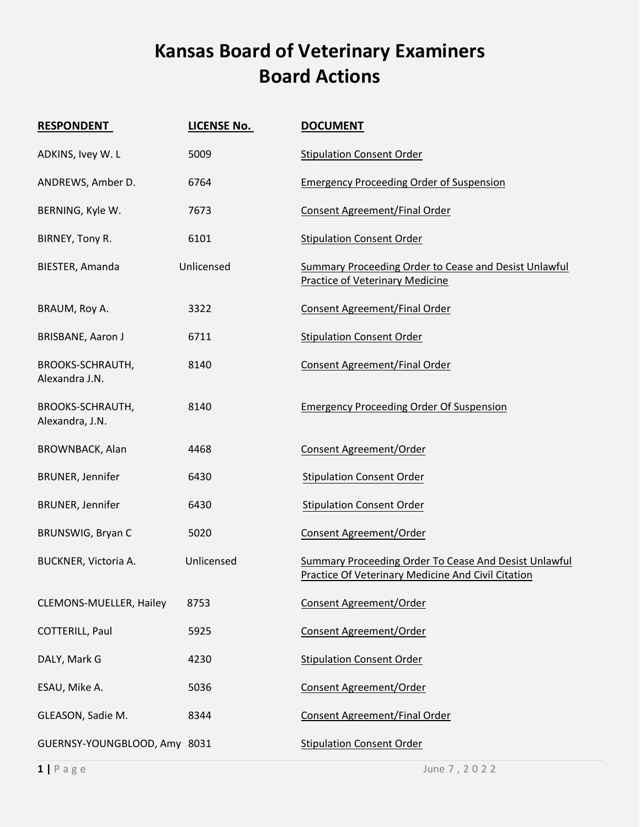## **Kansas Board of Veterinary Examiners Board Actions**

| <b>RESPONDENT</b>                         | <b>LICENSE No.</b> | <b>DOCUMENT</b>                                                                                                           |
|-------------------------------------------|--------------------|---------------------------------------------------------------------------------------------------------------------------|
| ADKINS, Ivey W. L                         | 5009               | <b>Stipulation Consent Order</b>                                                                                          |
| ANDREWS, Amber D.                         | 6764               | <b>Emergency Proceeding Order of Suspension</b>                                                                           |
| BERNING, Kyle W.                          | 7673               | Consent Agreement/Final Order                                                                                             |
| BIRNEY, Tony R.                           | 6101               | <b>Stipulation Consent Order</b>                                                                                          |
| BIESTER, Amanda                           | Unlicensed         | <b>Summary Proceeding Order to Cease and Desist Unlawful</b><br><b>Practice of Veterinary Medicine</b>                    |
| BRAUM, Roy A.                             | 3322               | Consent Agreement/Final Order                                                                                             |
| <b>BRISBANE, Aaron J</b>                  | 6711               | <b>Stipulation Consent Order</b>                                                                                          |
| <b>BROOKS-SCHRAUTH,</b><br>Alexandra J.N. | 8140               | Consent Agreement/Final Order                                                                                             |
| BROOKS-SCHRAUTH,<br>Alexandra, J.N.       | 8140               | <b>Emergency Proceeding Order Of Suspension</b>                                                                           |
| BROWNBACK, Alan                           | 4468               | Consent Agreement/Order                                                                                                   |
| <b>BRUNER, Jennifer</b>                   | 6430               | <b>Stipulation Consent Order</b>                                                                                          |
| <b>BRUNER, Jennifer</b>                   | 6430               | <b>Stipulation Consent Order</b>                                                                                          |
| BRUNSWIG, Bryan C                         | 5020               | Consent Agreement/Order                                                                                                   |
| BUCKNER, Victoria A.                      | Unlicensed         | <b>Summary Proceeding Order To Cease And Desist Unlawful</b><br><b>Practice Of Veterinary Medicine And Civil Citation</b> |
| CLEMONS-MUELLER, Hailey                   | 8753               | Consent Agreement/Order                                                                                                   |
| COTTERILL, Paul                           | 5925               | Consent Agreement/Order                                                                                                   |
| DALY, Mark G                              | 4230               | <b>Stipulation Consent Order</b>                                                                                          |
| ESAU, Mike A.                             | 5036               | Consent Agreement/Order                                                                                                   |
| GLEASON, Sadie M.                         | 8344               | Consent Agreement/Final Order                                                                                             |
| GUERNSY-YOUNGBLOOD, Amy 8031              |                    | <b>Stipulation Consent Order</b>                                                                                          |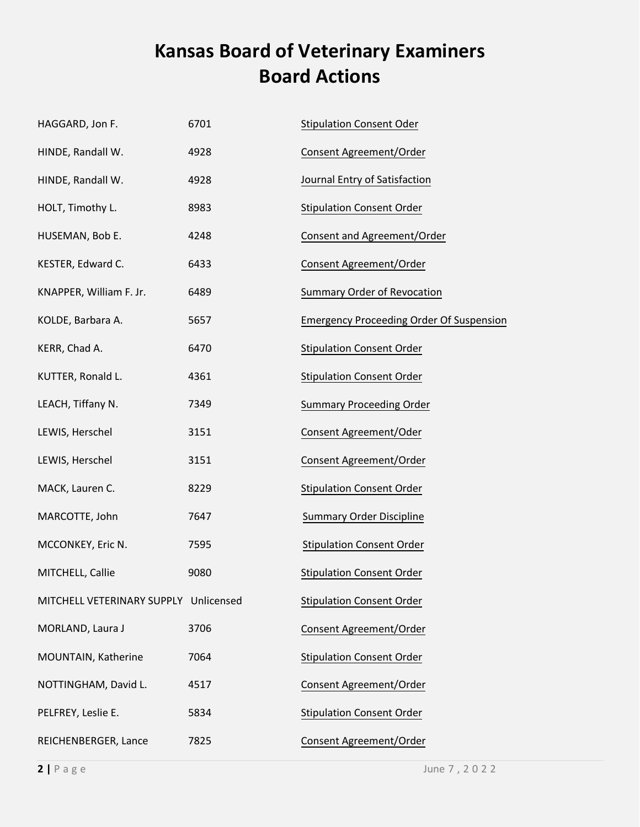## **Kansas Board of Veterinary Examiners Board Actions**

| HAGGARD, Jon F.                       | 6701 | <b>Stipulation Consent Oder</b>                 |
|---------------------------------------|------|-------------------------------------------------|
| HINDE, Randall W.                     | 4928 | Consent Agreement/Order                         |
| HINDE, Randall W.                     | 4928 | Journal Entry of Satisfaction                   |
| HOLT, Timothy L.                      | 8983 | <b>Stipulation Consent Order</b>                |
| HUSEMAN, Bob E.                       | 4248 | Consent and Agreement/Order                     |
| KESTER, Edward C.                     | 6433 | Consent Agreement/Order                         |
| KNAPPER, William F. Jr.               | 6489 | Summary Order of Revocation                     |
| KOLDE, Barbara A.                     | 5657 | <b>Emergency Proceeding Order Of Suspension</b> |
| KERR, Chad A.                         | 6470 | <b>Stipulation Consent Order</b>                |
| KUTTER, Ronald L.                     | 4361 | <b>Stipulation Consent Order</b>                |
| LEACH, Tiffany N.                     | 7349 | <b>Summary Proceeding Order</b>                 |
| LEWIS, Herschel                       | 3151 | Consent Agreement/Oder                          |
| LEWIS, Herschel                       | 3151 | Consent Agreement/Order                         |
| MACK, Lauren C.                       | 8229 | <b>Stipulation Consent Order</b>                |
| MARCOTTE, John                        | 7647 | <b>Summary Order Discipline</b>                 |
| MCCONKEY, Eric N.                     | 7595 | <b>Stipulation Consent Order</b>                |
| MITCHELL, Callie                      | 9080 | <b>Stipulation Consent Order</b>                |
| MITCHELL VETERINARY SUPPLY Unlicensed |      | <b>Stipulation Consent Order</b>                |
| MORLAND, Laura J                      | 3706 | Consent Agreement/Order                         |
| MOUNTAIN, Katherine                   | 7064 | <b>Stipulation Consent Order</b>                |
| NOTTINGHAM, David L.                  | 4517 | Consent Agreement/Order                         |
| PELFREY, Leslie E.                    | 5834 | <b>Stipulation Consent Order</b>                |
| REICHENBERGER, Lance                  | 7825 | Consent Agreement/Order                         |